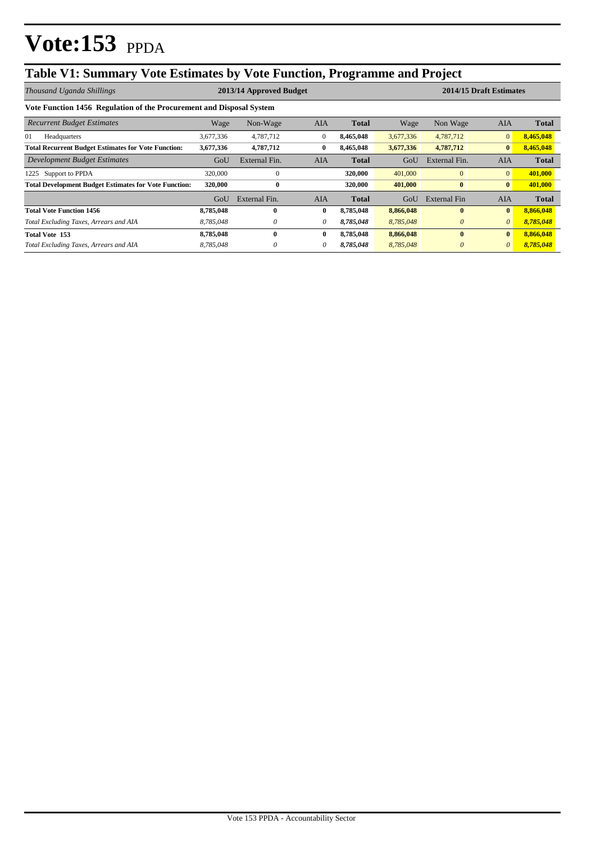# **Table V1: Summary Vote Estimates by Vote Function, Programme and Project**

| Thousand Uganda Shillings                                            | 2013/14 Approved Budget |               |              |              | 2014/15 Draft Estimates |               |                |              |
|----------------------------------------------------------------------|-------------------------|---------------|--------------|--------------|-------------------------|---------------|----------------|--------------|
| Vote Function 1456 Regulation of the Procurement and Disposal System |                         |               |              |              |                         |               |                |              |
| <b>Recurrent Budget Estimates</b>                                    | Wage                    | Non-Wage      | <b>AIA</b>   | <b>Total</b> | Wage                    | Non Wage      | <b>AIA</b>     | <b>Total</b> |
| 01<br>Headquarters                                                   | 3,677,336               | 4,787,712     | $\mathbf{0}$ | 8.465.048    | 3,677,336               | 4,787,712     | $\overline{0}$ | 8,465,048    |
| <b>Total Recurrent Budget Estimates for Vote Function:</b>           | 3,677,336               | 4,787,712     | $\bf{0}$     | 8,465,048    | 3,677,336               | 4,787,712     | $\bf{0}$       | 8,465,048    |
| Development Budget Estimates                                         | GoU                     | External Fin. | <b>AIA</b>   | Total        | GoU                     | External Fin. | <b>AIA</b>     | <b>Total</b> |
| Support to PPDA<br>1225                                              | 320,000                 | $\theta$      |              | 320,000      | 401,000                 | $\mathbf{0}$  | $\overline{0}$ | 401,000      |
| <b>Total Development Budget Estimates for Vote Function:</b>         | 320,000                 | $\bf{0}$      |              | 320,000      | 401,000                 | $\bf{0}$      | $\bf{0}$       | 401,000      |
|                                                                      | GoU                     | External Fin. | AIA          | <b>Total</b> | GoU                     | External Fin  | AIA            | <b>Total</b> |
| <b>Total Vote Function 1456</b>                                      | 8,785,048               | 0             | $\bf{0}$     | 8,785,048    | 8,866,048               | $\mathbf{0}$  | $\bf{0}$       | 8,866,048    |
| Total Excluding Taxes, Arrears and AIA                               | 8,785,048               | 0             | $\theta$     | 8,785,048    | 8,785,048               | $\theta$      | $\theta$       | 8,785,048    |
| <b>Total Vote 153</b>                                                | 8,785,048               | 0             | $\bf{0}$     | 8,785,048    | 8,866,048               | $\mathbf{0}$  | $\mathbf{0}$   | 8,866,048    |
| Total Excluding Taxes, Arrears and AIA                               | 8,785,048               |               | 0            | 8,785,048    | 8,785,048               | $\theta$      | $\theta$       | 8,785,048    |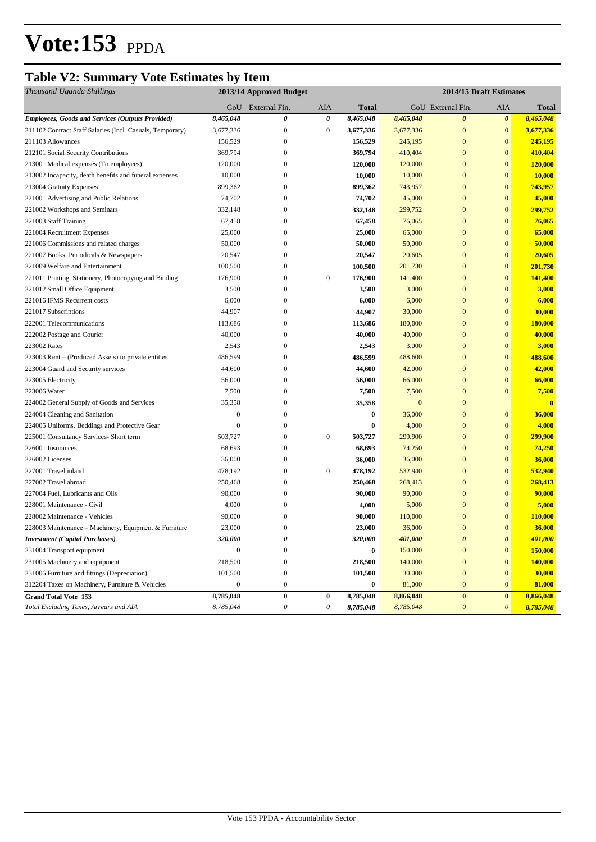## **Table V2: Summary Vote Estimates by Item**

| Thousand Uganda Shillings                                 | 2013/14 Approved Budget |                   |                  |              | 2014/15 Draft Estimates |                           |                       |                |
|-----------------------------------------------------------|-------------------------|-------------------|------------------|--------------|-------------------------|---------------------------|-----------------------|----------------|
|                                                           |                         | GoU External Fin. | AIA              | <b>Total</b> |                         | GoU External Fin.         | AIA                   | Total          |
| Employees, Goods and Services (Outputs Provided)          | 8,465,048               | 0                 | 0                | 8,465,048    | 8,465,048               | $\boldsymbol{\theta}$     | $\boldsymbol{\theta}$ | 8,465,048      |
| 211102 Contract Staff Salaries (Incl. Casuals, Temporary) | 3,677,336               | $\boldsymbol{0}$  | $\boldsymbol{0}$ | 3,677,336    | 3,677,336               | $\mathbf{0}$              | $\boldsymbol{0}$      | 3,677,336      |
| 211103 Allowances                                         | 156,529                 | $\boldsymbol{0}$  |                  | 156,529      | 245,195                 | $\mathbf{0}$              | $\mathbf{0}$          | 245,195        |
| 212101 Social Security Contributions                      | 369,794                 | $\overline{0}$    |                  | 369,794      | 410,404                 | $\mathbf{0}$              | $\mathbf{0}$          | 410,404        |
| 213001 Medical expenses (To employees)                    | 120,000                 | 0                 |                  | 120,000      | 120,000                 | $\mathbf{0}$              | $\bf{0}$              | 120,000        |
| 213002 Incapacity, death benefits and funeral expenses    | 10,000                  | $\overline{0}$    |                  | 10,000       | 10,000                  | $\mathbf{0}$              | $\mathbf{0}$          | 10,000         |
| 213004 Gratuity Expenses                                  | 899,362                 | 0                 |                  | 899,362      | 743,957                 | $\mathbf{0}$              | $\mathbf{0}$          | 743,957        |
| 221001 Advertising and Public Relations                   | 74,702                  | 0                 |                  | 74,702       | 45,000                  | $\mathbf{0}$              | $\boldsymbol{0}$      | 45,000         |
| 221002 Workshops and Seminars                             | 332,148                 | 0                 |                  | 332,148      | 299,752                 | $\mathbf{0}$              | $\mathbf{0}$          | 299,752        |
| 221003 Staff Training                                     | 67,458                  | 0                 |                  | 67,458       | 76,065                  | $\mathbf{0}$              | $\boldsymbol{0}$      | 76,065         |
| 221004 Recruitment Expenses                               | 25,000                  | $\boldsymbol{0}$  |                  | 25,000       | 65,000                  | $\mathbf{0}$              | $\mathbf{0}$          | 65,000         |
| 221006 Commissions and related charges                    | 50,000                  | 0                 |                  | 50,000       | 50,000                  | $\mathbf{0}$              | $\bf{0}$              | 50,000         |
| 221007 Books, Periodicals & Newspapers                    | 20,547                  | $\boldsymbol{0}$  |                  | 20,547       | 20,605                  | $\mathbf{0}$              | $\mathbf{0}$          | 20,605         |
| 221009 Welfare and Entertainment                          | 100,500                 | $\boldsymbol{0}$  |                  | 100,500      | 201,730                 | $\mathbf{0}$              | $\bf{0}$              | 201,730        |
| 221011 Printing, Stationery, Photocopying and Binding     | 176,900                 | $\boldsymbol{0}$  | $\boldsymbol{0}$ | 176,900      | 141,400                 | $\mathbf{0}$              | $\mathbf{0}$          | 141,400        |
| 221012 Small Office Equipment                             | 3,500                   | $\boldsymbol{0}$  |                  | 3,500        | 3,000                   | $\mathbf{0}$              | $\mathbf{0}$          | 3,000          |
| 221016 IFMS Recurrent costs                               | 6,000                   | $\boldsymbol{0}$  |                  | 6,000        | 6,000                   | $\mathbf{0}$              | $\boldsymbol{0}$      | 6,000          |
| 221017 Subscriptions                                      | 44,907                  | 0                 |                  | 44,907       | 30,000                  | $\mathbf{0}$              | $\mathbf{0}$          | 30,000         |
| 222001 Telecommunications                                 | 113,686                 | 0                 |                  | 113,686      | 180,000                 | $\mathbf{0}$              | $\bf{0}$              | 180,000        |
| 222002 Postage and Courier                                | 40,000                  | $\boldsymbol{0}$  |                  | 40,000       | 40,000                  | $\mathbf{0}$              | $\bf{0}$              | 40,000         |
| 223002 Rates                                              | 2,543                   | $\boldsymbol{0}$  |                  | 2,543        | 3,000                   | $\mathbf{0}$              | $\bf{0}$              | 3,000          |
| 223003 Rent – (Produced Assets) to private entities       | 486,599                 | $\boldsymbol{0}$  |                  | 486,599      | 488,600                 | $\mathbf{0}$              | $\bf{0}$              | 488,600        |
| 223004 Guard and Security services                        | 44,600                  | $\boldsymbol{0}$  |                  | 44,600       | 42,000                  | $\mathbf{0}$              | $\overline{0}$        | 42,000         |
| 223005 Electricity                                        | 56,000                  | $\boldsymbol{0}$  |                  | 56,000       | 66,000                  | $\mathbf{0}$              | $\bf{0}$              | 66,000         |
| 223006 Water                                              | 7,500                   | $\boldsymbol{0}$  |                  | 7,500        | 7,500                   | $\mathbf{0}$              | $\mathbf{0}$          | 7,500          |
| 224002 General Supply of Goods and Services               | 35,358                  | $\boldsymbol{0}$  |                  | 35,358       | $\mathbf{0}$            | $\mathbf{0}$              |                       | $\mathbf{0}$   |
| 224004 Cleaning and Sanitation                            | $\boldsymbol{0}$        | $\boldsymbol{0}$  |                  | $\bf{0}$     | 36,000                  | $\bf{0}$                  | $\boldsymbol{0}$      | 36,000         |
| 224005 Uniforms, Beddings and Protective Gear             | $\mathbf{0}$            | 0                 |                  | $\bf{0}$     | 4,000                   | $\mathbf{0}$              | $\mathbf{0}$          | 4,000          |
| 225001 Consultancy Services- Short term                   | 503,727                 | 0                 | $\boldsymbol{0}$ | 503,727      | 299,900                 | $\mathbf{0}$              | $\boldsymbol{0}$      | 299,900        |
| 226001 Insurances                                         | 68,693                  | $\boldsymbol{0}$  |                  | 68,693       | 74,250                  | $\mathbf{0}$              | $\mathbf{0}$          | 74,250         |
| 226002 Licenses                                           | 36,000                  | $\boldsymbol{0}$  |                  | 36,000       | 36,000                  | $\mathbf{0}$              | $\boldsymbol{0}$      | 36,000         |
| 227001 Travel inland                                      | 478,192                 | $\mathbf{0}$      | $\boldsymbol{0}$ | 478,192      | 532,940                 | $\mathbf{0}$              | $\bf{0}$              | 532,940        |
| 227002 Travel abroad                                      | 250,468                 | $\boldsymbol{0}$  |                  | 250,468      | 268,413                 | $\mathbf{0}$              | $\bf{0}$              | 268,413        |
| 227004 Fuel, Lubricants and Oils                          | 90,000                  | $\mathbf{0}$      |                  | 90,000       | 90,000                  | $\mathbf{0}$              | $\bf{0}$              | 90,000         |
| 228001 Maintenance - Civil                                | 4,000                   | $\boldsymbol{0}$  |                  | 4,000        | 5,000                   | $\mathbf{0}$              | $\mathbf{0}$          | 5,000          |
| 228002 Maintenance - Vehicles                             | 90,000                  | 0                 |                  | 90,000       | 110,000                 | $\mathbf{0}$              | $\boldsymbol{0}$      | <b>110,000</b> |
| 228003 Maintenance - Machinery, Equipment & Furniture     | 23,000                  | $\overline{0}$    |                  | 23,000       | 36,000                  | $\overline{0}$            | $\overline{0}$        | 36,000         |
| <b>Investment</b> (Capital Purchases)                     | 320,000                 | 0                 |                  | 320,000      | 401,000                 | $\boldsymbol{\theta}$     | $\boldsymbol{\theta}$ | 401,000        |
| 231004 Transport equipment                                | $\boldsymbol{0}$        | $\boldsymbol{0}$  |                  | $\bf{0}$     | 150,000                 | $\bf{0}$                  | $\boldsymbol{0}$      | 150,000        |
| 231005 Machinery and equipment                            | 218,500                 | $\boldsymbol{0}$  |                  | 218,500      | 140,000                 | $\boldsymbol{0}$          | $\mathbf{0}$          | 140,000        |
| 231006 Furniture and fittings (Depreciation)              | 101,500                 | $\boldsymbol{0}$  |                  | 101,500      | 30,000                  | $\boldsymbol{0}$          | $\mathbf{0}$          | 30,000         |
| 312204 Taxes on Machinery, Furniture & Vehicles           | $\mathbf{0}$            | $\boldsymbol{0}$  |                  | $\bf{0}$     | 81,000                  | $\boldsymbol{0}$          | $\mathbf{0}$          | 81,000         |
| <b>Grand Total Vote 153</b>                               | 8,785,048               | $\pmb{0}$         | $\pmb{0}$        | 8,785,048    | 8,866,048               | $\bf{0}$                  | $\bf{0}$              | 8,866,048      |
| Total Excluding Taxes, Arrears and AIA                    | 8,785,048               | 0                 | $\theta$         | 8,785,048    | 8,785,048               | $\boldsymbol{\mathit{0}}$ | $\boldsymbol{\theta}$ | 8,785,048      |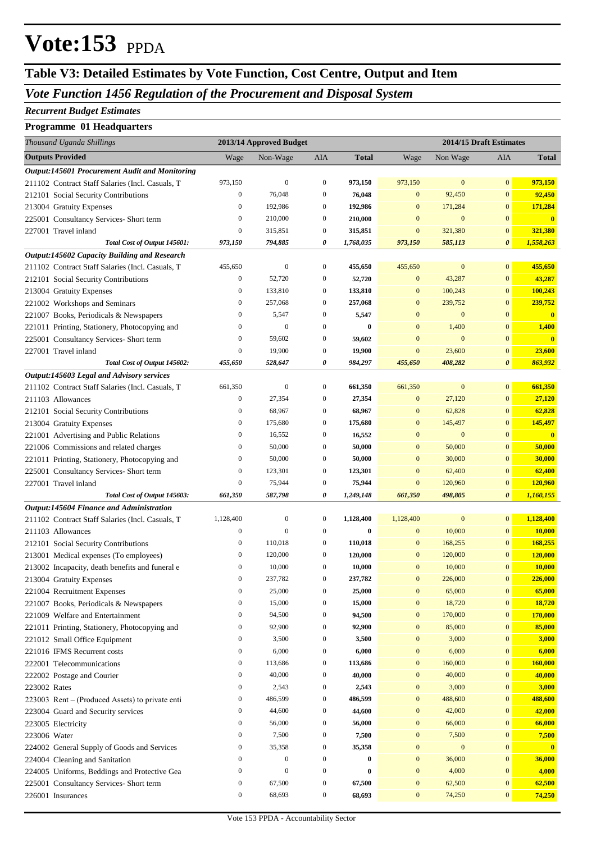## **Table V3: Detailed Estimates by Vote Function, Cost Centre, Output and Item**

### *Vote Function 1456 Regulation of the Procurement and Disposal System*

#### *Recurrent Budget Estimates*

#### **Programme 01 Headquarters**

| Thousand Uganda Shillings                                                               | 2013/14 Approved Budget              |                                      |                                      | 2014/15 Draft Estimates |                                      |                   |                              |                         |
|-----------------------------------------------------------------------------------------|--------------------------------------|--------------------------------------|--------------------------------------|-------------------------|--------------------------------------|-------------------|------------------------------|-------------------------|
| <b>Outputs Provided</b>                                                                 | Wage                                 | Non-Wage                             | AIA                                  | <b>Total</b>            | Wage                                 | Non Wage          | AIA                          | <b>Total</b>            |
| <b>Output:145601 Procurement Audit and Monitoring</b>                                   |                                      |                                      |                                      |                         |                                      |                   |                              |                         |
| 211102 Contract Staff Salaries (Incl. Casuals, T                                        | 973,150                              | $\boldsymbol{0}$                     | 0                                    | 973,150                 | 973,150                              | $\bf{0}$          | $\mathbf{0}$                 | 973,150                 |
| 212101 Social Security Contributions                                                    | $\boldsymbol{0}$                     | 76,048                               | $\boldsymbol{0}$                     | 76,048                  | $\mathbf{0}$                         | 92,450            | $\mathbf{0}$                 | 92,450                  |
| 213004 Gratuity Expenses                                                                | $\boldsymbol{0}$                     | 192,986                              | $\boldsymbol{0}$                     | 192,986                 | $\mathbf{0}$                         | 171,284           | $\mathbf{0}$                 | 171,284                 |
| 225001 Consultancy Services- Short term                                                 | $\boldsymbol{0}$                     | 210,000                              | $\boldsymbol{0}$                     | 210,000                 | $\mathbf{0}$                         | $\bf{0}$          | $\mathbf{0}$                 | $\overline{\mathbf{0}}$ |
| 227001 Travel inland                                                                    | $\boldsymbol{0}$                     | 315,851                              | $\boldsymbol{0}$                     | 315,851                 | $\mathbf{0}$                         | 321,380           | $\mathbf{0}$                 | 321,380                 |
| Total Cost of Output 145601:                                                            | 973,150                              | 794,885                              | 0                                    | 1,768,035               | 973,150                              | 585,113           | $\boldsymbol{\theta}$        | 1,558,263               |
| Output:145602 Capacity Building and Research                                            |                                      |                                      |                                      |                         |                                      |                   |                              |                         |
| 211102 Contract Staff Salaries (Incl. Casuals, T                                        | 455,650                              | $\boldsymbol{0}$                     | $\boldsymbol{0}$                     | 455,650                 | 455,650                              | $\boldsymbol{0}$  | $\mathbf{0}$                 | 455,650                 |
| 212101 Social Security Contributions                                                    | $\boldsymbol{0}$                     | 52,720                               | $\boldsymbol{0}$<br>$\boldsymbol{0}$ | 52,720                  | $\mathbf{0}$<br>$\mathbf{0}$         | 43,287<br>100,243 | $\mathbf{0}$<br>$\mathbf{0}$ | 43,287                  |
| 213004 Gratuity Expenses                                                                | $\boldsymbol{0}$<br>$\boldsymbol{0}$ | 133,810<br>257,068                   | $\boldsymbol{0}$                     | 133,810<br>257,068      | $\mathbf{0}$                         | 239,752           | $\mathbf{0}$                 | 100,243<br>239,752      |
| 221002 Workshops and Seminars                                                           | $\boldsymbol{0}$                     | 5,547                                | $\boldsymbol{0}$                     | 5,547                   | $\mathbf{0}$                         | $\bf{0}$          | $\mathbf{0}$                 | $\overline{\mathbf{0}}$ |
| 221007 Books, Periodicals & Newspapers<br>221011 Printing, Stationery, Photocopying and | $\boldsymbol{0}$                     | $\mathbf{0}$                         | $\boldsymbol{0}$                     | $\bf{0}$                | $\mathbf{0}$                         | 1,400             | $\mathbf{0}$                 | 1,400                   |
| 225001 Consultancy Services- Short term                                                 | $\boldsymbol{0}$                     | 59,602                               | $\boldsymbol{0}$                     | 59,602                  | $\mathbf{0}$                         | $\boldsymbol{0}$  | $\mathbf{0}$                 | $\overline{\mathbf{0}}$ |
| 227001 Travel inland                                                                    | $\boldsymbol{0}$                     | 19,900                               | $\boldsymbol{0}$                     | 19,900                  | $\mathbf{0}$                         | 23,600            | $\mathbf{0}$                 | 23,600                  |
| Total Cost of Output 145602:                                                            | 455,650                              | 528,647                              | 0                                    | 984,297                 | 455,650                              | 408,282           | $\boldsymbol{\theta}$        | 863,932                 |
| Output:145603 Legal and Advisory services                                               |                                      |                                      |                                      |                         |                                      |                   |                              |                         |
| 211102 Contract Staff Salaries (Incl. Casuals, T                                        | 661,350                              | $\boldsymbol{0}$                     | $\boldsymbol{0}$                     | 661,350                 | 661,350                              | $\boldsymbol{0}$  | $\mathbf{0}$                 | 661,350                 |
| 211103 Allowances                                                                       | $\boldsymbol{0}$                     | 27,354                               | $\boldsymbol{0}$                     | 27,354                  | $\mathbf{0}$                         | 27,120            | $\mathbf{0}$                 | 27,120                  |
| 212101 Social Security Contributions                                                    | $\boldsymbol{0}$                     | 68,967                               | $\boldsymbol{0}$                     | 68,967                  | $\mathbf{0}$                         | 62,828            | $\mathbf{0}$                 | 62,828                  |
| 213004 Gratuity Expenses                                                                | $\boldsymbol{0}$                     | 175,680                              | $\boldsymbol{0}$                     | 175,680                 | $\mathbf{0}$                         | 145,497           | $\bf{0}$                     | 145,497                 |
| 221001 Advertising and Public Relations                                                 | $\boldsymbol{0}$                     | 16,552                               | $\boldsymbol{0}$                     | 16,552                  | $\mathbf{0}$                         | $\boldsymbol{0}$  | $\mathbf{0}$                 | $\overline{\mathbf{0}}$ |
| 221006 Commissions and related charges                                                  | $\boldsymbol{0}$                     | 50,000                               | $\boldsymbol{0}$                     | 50,000                  | $\mathbf{0}$                         | 50,000            | $\bf{0}$                     | 50,000                  |
| 221011 Printing, Stationery, Photocopying and                                           | $\boldsymbol{0}$                     | 50,000                               | $\boldsymbol{0}$                     | 50,000                  | $\mathbf{0}$                         | 30,000            | $\mathbf{0}$                 | 30,000                  |
| 225001 Consultancy Services- Short term                                                 | $\boldsymbol{0}$                     | 123,301                              | $\boldsymbol{0}$                     | 123,301                 | $\mathbf{0}$                         | 62,400            | $\bf{0}$                     | 62,400                  |
| 227001 Travel inland                                                                    | $\boldsymbol{0}$                     | 75,944                               | $\boldsymbol{0}$                     | 75,944                  | $\mathbf{0}$                         | 120,960           | $\bf{0}$                     | 120,960                 |
| Total Cost of Output 145603:                                                            | 661,350                              | 587,798                              | 0                                    | 1,249,148               | 661,350                              | 498,805           | $\boldsymbol{\theta}$        | 1,160,155               |
| Output:145604 Finance and Administration                                                |                                      |                                      |                                      |                         |                                      |                   |                              |                         |
| 211102 Contract Staff Salaries (Incl. Casuals, T                                        | 1,128,400                            | $\boldsymbol{0}$                     | $\boldsymbol{0}$                     | 1,128,400               | 1,128,400                            | $\boldsymbol{0}$  | $\mathbf{0}$                 | 1,128,400               |
| 211103 Allowances                                                                       | $\boldsymbol{0}$                     | $\mathbf{0}$                         | $\boldsymbol{0}$                     | $\bf{0}$                | $\boldsymbol{0}$                     | 10,000            | $\bf{0}$                     | 10,000                  |
| 212101 Social Security Contributions                                                    | $\boldsymbol{0}$                     | 110,018                              | $\boldsymbol{0}$                     | 110,018                 | $\boldsymbol{0}$                     | 168,255           | $\mathbf{0}$                 | 168,255                 |
| 213001 Medical expenses (To employees)                                                  | $\boldsymbol{0}$                     | 120,000                              | $\boldsymbol{0}$                     | 120,000                 | $\mathbf{0}$                         | 120,000           | $\mathbf{0}$                 | 120,000                 |
| 213002 Incapacity, death benefits and funeral e                                         | $\boldsymbol{0}$                     | 10,000                               | $\boldsymbol{0}$                     | 10,000                  | $\mathbf{0}$                         | 10,000            | $\mathbf{0}$                 | 10,000                  |
| 213004 Gratuity Expenses                                                                | $\mathbf{0}$                         | 237,782                              | $\mathbf{0}$                         | 237,782                 | $\mathbf{0}$                         | 226,000           | $\overline{0}$               | 226,000                 |
| 221004 Recruitment Expenses                                                             | $\boldsymbol{0}$                     | 25,000                               | $\boldsymbol{0}$                     | 25,000                  | $\boldsymbol{0}$                     | 65,000            | $\bf{0}$                     | 65,000                  |
| 221007 Books, Periodicals & Newspapers                                                  | $\boldsymbol{0}$                     | 15,000                               | $\boldsymbol{0}$                     | 15,000                  | $\boldsymbol{0}$                     | 18,720            | $\mathbf{0}$                 | 18,720                  |
| 221009 Welfare and Entertainment                                                        | $\boldsymbol{0}$                     | 94,500                               | $\boldsymbol{0}$                     | 94,500                  | $\boldsymbol{0}$                     | 170,000           | $\mathbf{0}$                 | <b>170,000</b>          |
| 221011 Printing, Stationery, Photocopying and                                           | $\boldsymbol{0}$                     | 92,900                               | $\boldsymbol{0}$                     | 92,900                  | $\boldsymbol{0}$                     | 85,000            | $\mathbf{0}$                 | 85,000                  |
| 221012 Small Office Equipment                                                           | $\boldsymbol{0}$                     | 3,500                                | $\boldsymbol{0}$                     | 3,500                   | $\boldsymbol{0}$                     | 3,000             | $\mathbf{0}$                 | 3,000                   |
| 221016 IFMS Recurrent costs                                                             | $\boldsymbol{0}$                     | 6,000                                | $\boldsymbol{0}$                     | 6,000                   | $\boldsymbol{0}$                     | 6,000             | $\mathbf{0}$                 | 6,000                   |
| 222001 Telecommunications                                                               | $\boldsymbol{0}$                     | 113,686                              | $\boldsymbol{0}$                     | 113,686                 | $\boldsymbol{0}$                     | 160,000           | $\mathbf{0}$                 | 160,000                 |
| 222002 Postage and Courier                                                              | $\boldsymbol{0}$                     | 40,000                               | $\boldsymbol{0}$                     | 40,000                  | $\boldsymbol{0}$                     | 40,000            | $\mathbf{0}$                 | 40,000                  |
| 223002 Rates                                                                            | $\boldsymbol{0}$                     | 2,543                                | $\boldsymbol{0}$                     | 2,543                   | $\boldsymbol{0}$                     | 3,000             | $\mathbf{0}$                 | 3,000                   |
| 223003 Rent – (Produced Assets) to private enti                                         | $\boldsymbol{0}$                     | 486,599                              | $\boldsymbol{0}$                     | 486,599                 | $\boldsymbol{0}$                     | 488,600           | $\mathbf{0}$                 | 488,600                 |
| 223004 Guard and Security services                                                      | $\boldsymbol{0}$                     | 44,600                               | $\boldsymbol{0}$                     | 44,600                  | $\boldsymbol{0}$                     | 42,000            | $\mathbf{0}$                 | 42,000                  |
| 223005 Electricity                                                                      | $\boldsymbol{0}$                     | 56,000                               | $\boldsymbol{0}$                     | 56,000                  | $\boldsymbol{0}$                     | 66,000            | $\mathbf{0}$                 | 66,000                  |
| 223006 Water                                                                            | $\boldsymbol{0}$                     | 7,500                                | $\boldsymbol{0}$                     | 7,500                   | $\boldsymbol{0}$                     | 7,500             | $\mathbf{0}$                 | 7,500                   |
| 224002 General Supply of Goods and Services                                             | $\boldsymbol{0}$                     | 35,358                               | $\boldsymbol{0}$                     | 35,358                  | $\boldsymbol{0}$                     | $\bf{0}$          | $\mathbf{0}$                 | $\mathbf{0}$            |
| 224004 Cleaning and Sanitation                                                          | $\boldsymbol{0}$<br>$\boldsymbol{0}$ | $\boldsymbol{0}$<br>$\boldsymbol{0}$ | $\boldsymbol{0}$                     | $\bf{0}$                | $\boldsymbol{0}$                     | 36,000            | $\bf{0}$                     | 36,000                  |
| 224005 Uniforms, Beddings and Protective Gea                                            | $\boldsymbol{0}$                     | 67,500                               | $\boldsymbol{0}$<br>$\boldsymbol{0}$ | $\bf{0}$                | $\boldsymbol{0}$<br>$\boldsymbol{0}$ | 4,000<br>62,500   | $\mathbf{0}$<br>$\bf{0}$     | 4,000                   |
| 225001 Consultancy Services- Short term                                                 | $\boldsymbol{0}$                     | 68,693                               | $\boldsymbol{0}$                     | 67,500<br>68,693        | $\boldsymbol{0}$                     | 74,250            | $\mathbf{0}$                 | 62,500<br>74,250        |
| 226001 Insurances                                                                       |                                      |                                      |                                      |                         |                                      |                   |                              |                         |